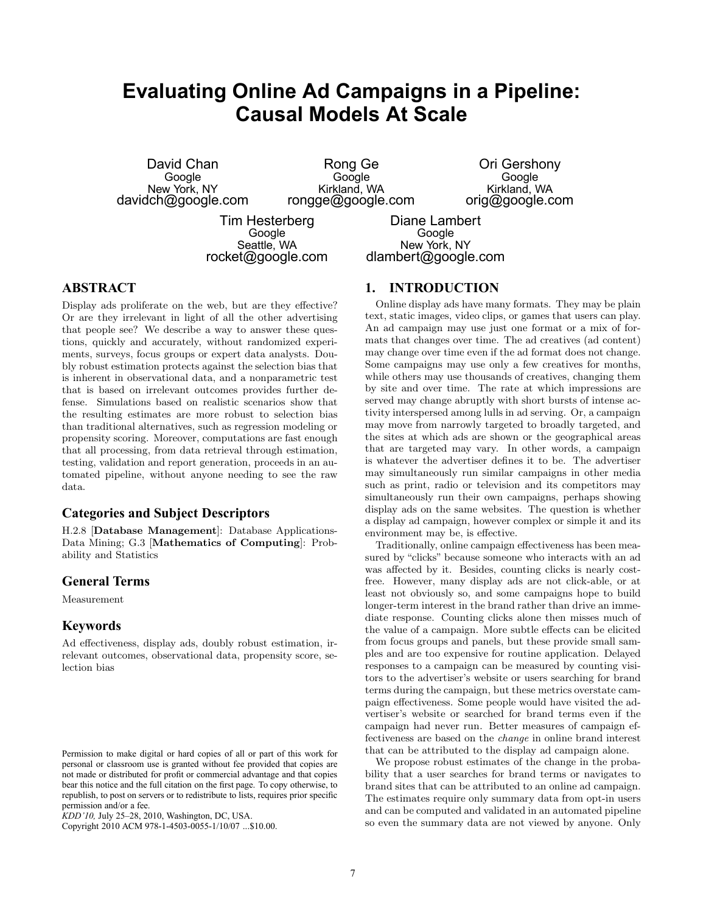# **Evaluating Online Ad Campaigns in a Pipeline: Causal Models At Scale**

David Chan Google New York, NY davidch@google.com

Rong Ge Google Kirkland, WA rongge@google.com

Ori Gershony Google Kirkland, WA orig@google.com

Tim Hesterberg Google Seattle, WA rocket@google.com

Diane Lambert Google New York, NY dlambert@google.com

# **ABSTRACT**

Display ads proliferate on the web, but are they effective? Or are they irrelevant in light of all the other advertising that people see? We describe a way to answer these questions, quickly and accurately, without randomized experiments, surveys, focus groups or expert data analysts. Doubly robust estimation protects against the selection bias that is inherent in observational data, and a nonparametric test that is based on irrelevant outcomes provides further defense. Simulations based on realistic scenarios show that the resulting estimates are more robust to selection bias than traditional alternatives, such as regression modeling or propensity scoring. Moreover, computations are fast enough that all processing, from data retrieval through estimation, testing, validation and report generation, proceeds in an automated pipeline, without anyone needing to see the raw data.

## **Categories and Subject Descriptors**

H.2.8 [Database Management]: Database Applications-Data Mining; G.3 [Mathematics of Computing]: Probability and Statistics

## **General Terms**

Measurement

#### **Keywords**

Ad effectiveness, display ads, doubly robust estimation, irrelevant outcomes, observational data, propensity score, selection bias

Copyright 2010 ACM 978-1-4503-0055-1/10/07 ...\$10.00.

#### **1. INTRODUCTION**

Online display ads have many formats. They may be plain text, static images, video clips, or games that users can play. An ad campaign may use just one format or a mix of formats that changes over time. The ad creatives (ad content) may change over time even if the ad format does not change. Some campaigns may use only a few creatives for months, while others may use thousands of creatives, changing them by site and over time. The rate at which impressions are served may change abruptly with short bursts of intense activity interspersed among lulls in ad serving. Or, a campaign may move from narrowly targeted to broadly targeted, and the sites at which ads are shown or the geographical areas that are targeted may vary. In other words, a campaign is whatever the advertiser defines it to be. The advertiser may simultaneously run similar campaigns in other media such as print, radio or television and its competitors may simultaneously run their own campaigns, perhaps showing display ads on the same websites. The question is whether a display ad campaign, however complex or simple it and its environment may be, is effective.

Traditionally, online campaign effectiveness has been measured by "clicks" because someone who interacts with an ad was affected by it. Besides, counting clicks is nearly costfree. However, many display ads are not click-able, or at least not obviously so, and some campaigns hope to build longer-term interest in the brand rather than drive an immediate response. Counting clicks alone then misses much of the value of a campaign. More subtle effects can be elicited from focus groups and panels, but these provide small samples and are too expensive for routine application. Delayed responses to a campaign can be measured by counting visitors to the advertiser's website or users searching for brand terms during the campaign, but these metrics overstate campaign effectiveness. Some people would have visited the advertiser's website or searched for brand terms even if the campaign had never run. Better measures of campaign effectiveness are based on the change in online brand interest that can be attributed to the display ad campaign alone.

We propose robust estimates of the change in the probability that a user searches for brand terms or navigates to brand sites that can be attributed to an online ad campaign. The estimates require only summary data from opt-in users and can be computed and validated in an automated pipeline so even the summary data are not viewed by anyone. Only

Permission to make digital or hard copies of all or part of this work for personal or classroom use is granted without fee provided that copies are not made or distributed for profit or commercial advantage and that copies bear this notice and the full citation on the first page. To copy otherwise, to republish, to post on servers or to redistribute to lists, requires prior specific permission and/or a fee.

*KDD'10,* July 25–28, 2010, Washington, DC, USA.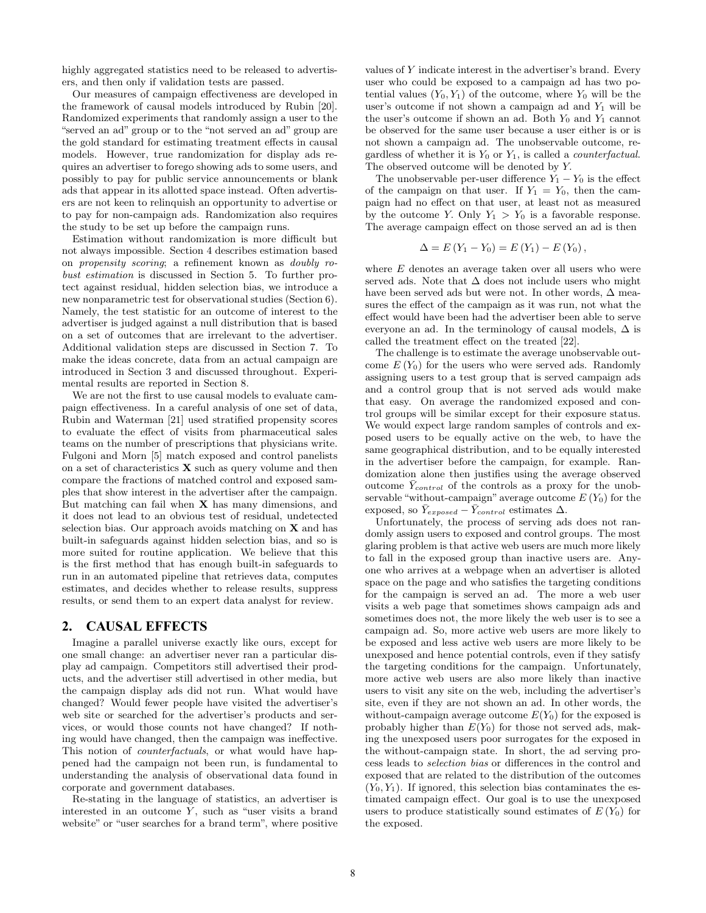highly aggregated statistics need to be released to advertisers, and then only if validation tests are passed.

Our measures of campaign effectiveness are developed in the framework of causal models introduced by Rubin [20]. Randomized experiments that randomly assign a user to the "served an ad" group or to the "not served an ad" group are the gold standard for estimating treatment effects in causal models. However, true randomization for display ads requires an advertiser to forego showing ads to some users, and possibly to pay for public service announcements or blank ads that appear in its allotted space instead. Often advertisers are not keen to relinquish an opportunity to advertise or to pay for non-campaign ads. Randomization also requires the study to be set up before the campaign runs.

Estimation without randomization is more difficult but not always impossible. Section 4 describes estimation based on propensity scoring; a refinement known as doubly robust estimation is discussed in Section 5. To further protect against residual, hidden selection bias, we introduce a new nonparametric test for observational studies (Section 6). Namely, the test statistic for an outcome of interest to the advertiser is judged against a null distribution that is based on a set of outcomes that are irrelevant to the advertiser. Additional validation steps are discussed in Section 7. To make the ideas concrete, data from an actual campaign are introduced in Section 3 and discussed throughout. Experimental results are reported in Section 8.

We are not the first to use causal models to evaluate campaign effectiveness. In a careful analysis of one set of data, Rubin and Waterman [21] used stratified propensity scores to evaluate the effect of visits from pharmaceutical sales teams on the number of prescriptions that physicians write. Fulgoni and Morn [5] match exposed and control panelists on a set of characteristics  $X$  such as query volume and then compare the fractions of matched control and exposed samples that show interest in the advertiser after the campaign. But matching can fail when  $X$  has many dimensions, and it does not lead to an obvious test of residual, undetected selection bias. Our approach avoids matching on  $X$  and has built-in safeguards against hidden selection bias, and so is more suited for routine application. We believe that this is the first method that has enough built-in safeguards to run in an automated pipeline that retrieves data, computes estimates, and decides whether to release results, suppress results, or send them to an expert data analyst for review.

# **2. CAUSAL EFFECTS**

Imagine a parallel universe exactly like ours, except for one small change: an advertiser never ran a particular display ad campaign. Competitors still advertised their products, and the advertiser still advertised in other media, but the campaign display ads did not run. What would have changed? Would fewer people have visited the advertiser's web site or searched for the advertiser's products and services, or would those counts not have changed? If nothing would have changed, then the campaign was ineffective. This notion of counterfactuals, or what would have happened had the campaign not been run, is fundamental to understanding the analysis of observational data found in corporate and government databases.

Re-stating in the language of statistics, an advertiser is interested in an outcome  $Y$ , such as "user visits a brand website" or "user searches for a brand term", where positive values of Y indicate interest in the advertiser's brand. Every user who could be exposed to a campaign ad has two potential values  $(Y_0, Y_1)$  of the outcome, where  $Y_0$  will be the user's outcome if not shown a campaign ad and  $Y_1$  will be the user's outcome if shown an ad. Both  $Y_0$  and  $Y_1$  cannot be observed for the same user because a user either is or is not shown a campaign ad. The unobservable outcome, regardless of whether it is  $Y_0$  or  $Y_1$ , is called a *counterfactual*. The observed outcome will be denoted by Y.

The unobservable per-user difference  $Y_1 - Y_0$  is the effect of the campaign on that user. If  $Y_1 = Y_0$ , then the campaign had no effect on that user, at least not as measured by the outcome Y. Only  $Y_1 > Y_0$  is a favorable response. The average campaign effect on those served an ad is then

$$
\Delta = E(Y_1 - Y_0) = E(Y_1) - E(Y_0),
$$

where E denotes an average taken over all users who were served ads. Note that  $\Delta$  does not include users who might have been served ads but were not. In other words,  $\Delta$  measures the effect of the campaign as it was run, not what the effect would have been had the advertiser been able to serve everyone an ad. In the terminology of causal models,  $\Delta$  is called the treatment effect on the treated [22].

The challenge is to estimate the average unobservable outcome  $E(Y_0)$  for the users who were served ads. Randomly assigning users to a test group that is served campaign ads and a control group that is not served ads would make that easy. On average the randomized exposed and control groups will be similar except for their exposure status. We would expect large random samples of controls and exposed users to be equally active on the web, to have the same geographical distribution, and to be equally interested in the advertiser before the campaign, for example. Randomization alone then justifies using the average observed outcome  $\bar{Y}_{control}$  of the controls as a proxy for the unobservable "without-campaign" average outcome  $E(Y_0)$  for the exposed, so  $Y_{exposed} - Y_{control}$  estimates  $\Delta$ .

Unfortunately, the process of serving ads does not randomly assign users to exposed and control groups. The most glaring problem is that active web users are much more likely to fall in the exposed group than inactive users are. Anyone who arrives at a webpage when an advertiser is alloted space on the page and who satisfies the targeting conditions for the campaign is served an ad. The more a web user visits a web page that sometimes shows campaign ads and sometimes does not, the more likely the web user is to see a campaign ad. So, more active web users are more likely to be exposed and less active web users are more likely to be unexposed and hence potential controls, even if they satisfy the targeting conditions for the campaign. Unfortunately, more active web users are also more likely than inactive users to visit any site on the web, including the advertiser's site, even if they are not shown an ad. In other words, the without-campaign average outcome  $E(Y_0)$  for the exposed is probably higher than  $E(Y_0)$  for those not served ads, making the unexposed users poor surrogates for the exposed in the without-campaign state. In short, the ad serving process leads to selection bias or differences in the control and exposed that are related to the distribution of the outcomes  $(Y_0, Y_1)$ . If ignored, this selection bias contaminates the estimated campaign effect. Our goal is to use the unexposed users to produce statistically sound estimates of  $E(Y_0)$  for the exposed.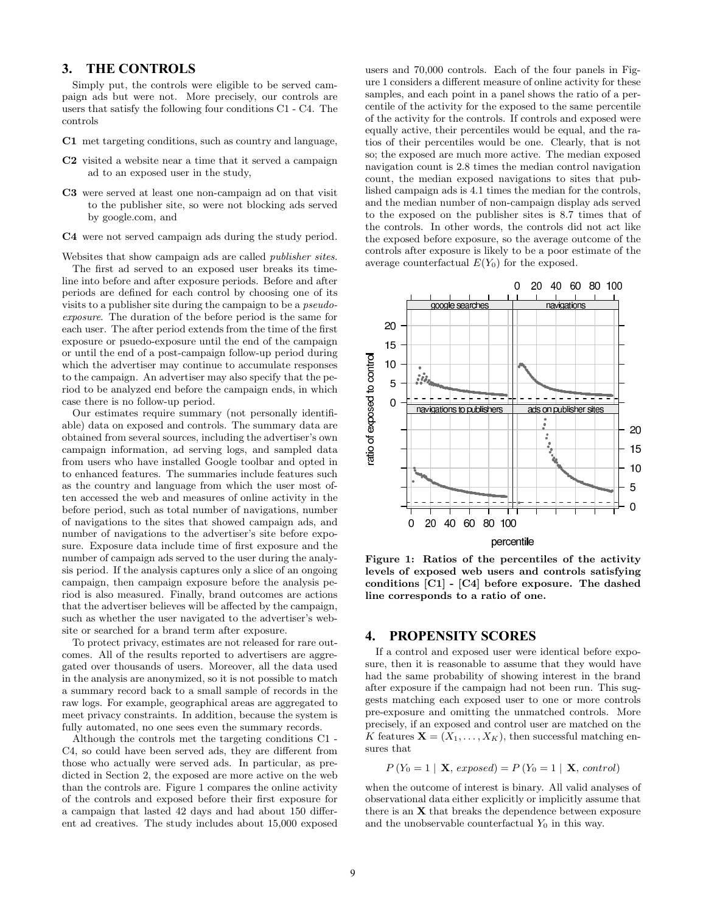#### **3. THE CONTROLS**

Simply put, the controls were eligible to be served campaign ads but were not. More precisely, our controls are users that satisfy the following four conditions C1 - C4. The controls

- C1 met targeting conditions, such as country and language,
- C2 visited a website near a time that it served a campaign ad to an exposed user in the study,
- C3 were served at least one non-campaign ad on that visit to the publisher site, so were not blocking ads served by google.com, and
- C4 were not served campaign ads during the study period.

Websites that show campaign ads are called publisher sites. The first ad served to an exposed user breaks its timeline into before and after exposure periods. Before and after periods are defined for each control by choosing one of its visits to a publisher site during the campaign to be a pseudoexposure. The duration of the before period is the same for each user. The after period extends from the time of the first exposure or psuedo-exposure until the end of the campaign or until the end of a post-campaign follow-up period during which the advertiser may continue to accumulate responses to the campaign. An advertiser may also specify that the period to be analyzed end before the campaign ends, in which case there is no follow-up period.

Our estimates require summary (not personally identifiable) data on exposed and controls. The summary data are obtained from several sources, including the advertiser's own campaign information, ad serving logs, and sampled data from users who have installed Google toolbar and opted in to enhanced features. The summaries include features such as the country and language from which the user most often accessed the web and measures of online activity in the before period, such as total number of navigations, number of navigations to the sites that showed campaign ads, and number of navigations to the advertiser's site before exposure. Exposure data include time of first exposure and the number of campaign ads served to the user during the analysis period. If the analysis captures only a slice of an ongoing campaign, then campaign exposure before the analysis period is also measured. Finally, brand outcomes are actions that the advertiser believes will be affected by the campaign, such as whether the user navigated to the advertiser's website or searched for a brand term after exposure.

To protect privacy, estimates are not released for rare outcomes. All of the results reported to advertisers are aggregated over thousands of users. Moreover, all the data used in the analysis are anonymized, so it is not possible to match a summary record back to a small sample of records in the raw logs. For example, geographical areas are aggregated to meet privacy constraints. In addition, because the system is fully automated, no one sees even the summary records.

Although the controls met the targeting conditions C1 - C4, so could have been served ads, they are different from those who actually were served ads. In particular, as predicted in Section 2, the exposed are more active on the web than the controls are. Figure 1 compares the online activity of the controls and exposed before their first exposure for a campaign that lasted 42 days and had about 150 different ad creatives. The study includes about 15,000 exposed users and 70,000 controls. Each of the four panels in Figure 1 considers a different measure of online activity for these samples, and each point in a panel shows the ratio of a percentile of the activity for the exposed to the same percentile of the activity for the controls. If controls and exposed were equally active, their percentiles would be equal, and the ratios of their percentiles would be one. Clearly, that is not so; the exposed are much more active. The median exposed navigation count is 2.8 times the median control navigation count, the median exposed navigations to sites that published campaign ads is 4.1 times the median for the controls, and the median number of non-campaign display ads served to the exposed on the publisher sites is 8.7 times that of the controls. In other words, the controls did not act like the exposed before exposure, so the average outcome of the controls after exposure is likely to be a poor estimate of the average counterfactual  $E(Y_0)$  for the exposed.



Figure 1: Ratios of the percentiles of the activity levels of exposed web users and controls satisfying conditions [C1] - [C4] before exposure. The dashed line corresponds to a ratio of one.

#### **4. PROPENSITY SCORES**

If a control and exposed user were identical before exposure, then it is reasonable to assume that they would have had the same probability of showing interest in the brand after exposure if the campaign had not been run. This suggests matching each exposed user to one or more controls pre-exposure and omitting the unmatched controls. More precisely, if an exposed and control user are matched on the K features  $\mathbf{X} = (X_1, \ldots, X_K)$ , then successful matching ensures that

$$
P(Y_0 = 1 | \mathbf{X}, exposed) = P(Y_0 = 1 | \mathbf{X}, control)
$$

when the outcome of interest is binary. All valid analyses of observational data either explicitly or implicitly assume that there is an X that breaks the dependence between exposure and the unobservable counterfactual  $Y_0$  in this way.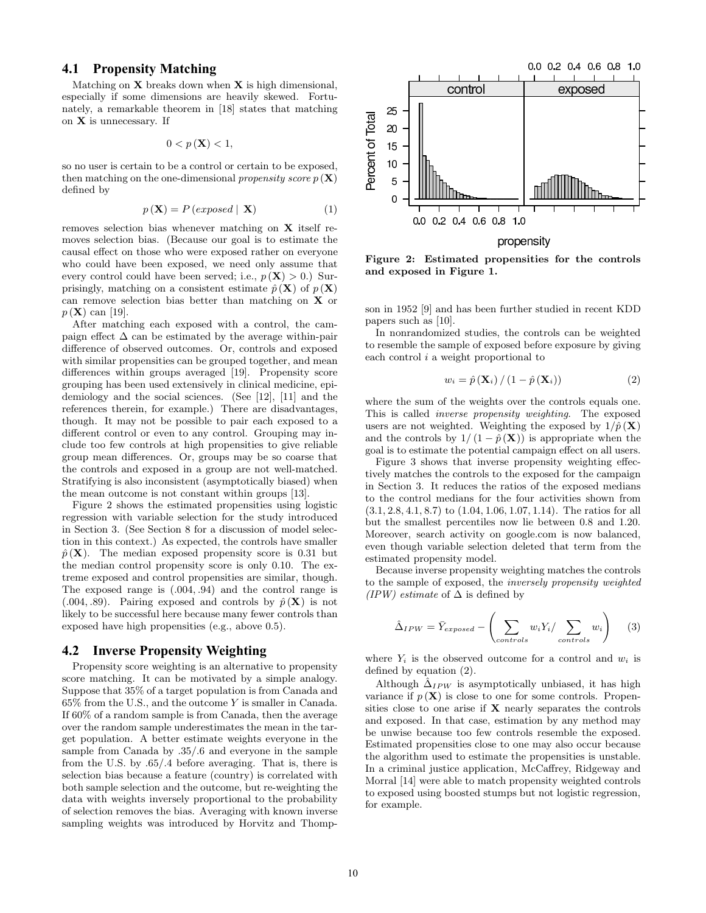## **4.1 Propensity Matching**

Matching on  $X$  breaks down when  $X$  is high dimensional, especially if some dimensions are heavily skewed. Fortunately, a remarkable theorem in [18] states that matching on X is unnecessary. If

$$
0 < p\left(\mathbf{X}\right) < 1,
$$

so no user is certain to be a control or certain to be exposed, then matching on the one-dimensional propensity score  $p(X)$ defined by

$$
p\left(\mathbf{X}\right) = P\left(exposed \mid \mathbf{X}\right) \tag{1}
$$

removes selection bias whenever matching on X itself removes selection bias. (Because our goal is to estimate the causal effect on those who were exposed rather on everyone who could have been exposed, we need only assume that every control could have been served; i.e.,  $p(\mathbf{X}) > 0$ .) Surprisingly, matching on a consistent estimate  $\hat{p}(\mathbf{X})$  of  $p(\mathbf{X})$ can remove selection bias better than matching on X or  $p(X)$  can [19].

After matching each exposed with a control, the campaign effect  $\Delta$  can be estimated by the average within-pair difference of observed outcomes. Or, controls and exposed with similar propensities can be grouped together, and mean differences within groups averaged [19]. Propensity score grouping has been used extensively in clinical medicine, epidemiology and the social sciences. (See [12], [11] and the references therein, for example.) There are disadvantages, though. It may not be possible to pair each exposed to a different control or even to any control. Grouping may include too few controls at high propensities to give reliable group mean differences. Or, groups may be so coarse that the controls and exposed in a group are not well-matched. Stratifying is also inconsistent (asymptotically biased) when the mean outcome is not constant within groups [13].

Figure 2 shows the estimated propensities using logistic regression with variable selection for the study introduced in Section 3. (See Section 8 for a discussion of model selection in this context.) As expected, the controls have smaller  $\hat{p}(\mathbf{X})$ . The median exposed propensity score is 0.31 but the median control propensity score is only 0.10. The extreme exposed and control propensities are similar, though. The exposed range is (.004, .94) and the control range is  $(.004, .89)$ . Pairing exposed and controls by  $\hat{p}(\mathbf{X})$  is not likely to be successful here because many fewer controls than exposed have high propensities (e.g., above 0.5).

#### **4.2 Inverse Propensity Weighting**

Propensity score weighting is an alternative to propensity score matching. It can be motivated by a simple analogy. Suppose that 35% of a target population is from Canada and 65% from the U.S., and the outcome Y is smaller in Canada. If 60% of a random sample is from Canada, then the average over the random sample underestimates the mean in the target population. A better estimate weights everyone in the sample from Canada by .35/.6 and everyone in the sample from the U.S. by .65/.4 before averaging. That is, there is selection bias because a feature (country) is correlated with both sample selection and the outcome, but re-weighting the data with weights inversely proportional to the probability of selection removes the bias. Averaging with known inverse sampling weights was introduced by Horvitz and Thomp-



Figure 2: Estimated propensities for the controls and exposed in Figure 1.

son in 1952 [9] and has been further studied in recent KDD papers such as [10].

In nonrandomized studies, the controls can be weighted to resemble the sample of exposed before exposure by giving each control i a weight proportional to

$$
w_i = \hat{p}\left(\mathbf{X}_i\right) / \left(1 - \hat{p}\left(\mathbf{X}_i\right)\right) \tag{2}
$$

where the sum of the weights over the controls equals one. This is called inverse propensity weighting. The exposed users are not weighted. Weighting the exposed by  $1/\hat{p}(\mathbf{X})$ and the controls by  $1/(1 - \hat{p}(\mathbf{X}))$  is appropriate when the goal is to estimate the potential campaign effect on all users.

Figure 3 shows that inverse propensity weighting effectively matches the controls to the exposed for the campaign in Section 3. It reduces the ratios of the exposed medians to the control medians for the four activities shown from (3.1, 2.8, 4.1, 8.7) to (1.04, 1.06, 1.07, 1.14). The ratios for all but the smallest percentiles now lie between 0.8 and 1.20. Moreover, search activity on google.com is now balanced, even though variable selection deleted that term from the estimated propensity model.

Because inverse propensity weighting matches the controls to the sample of exposed, the inversely propensity weighted (IPW) estimate of  $\Delta$  is defined by

$$
\hat{\Delta}_{IPW} = \bar{Y}_{exposed} - \left(\sum_{controls} w_i Y_i / \sum_{controls} w_i\right) \tag{3}
$$

where  $Y_i$  is the observed outcome for a control and  $w_i$  is defined by equation (2).

Although  $\hat{\Delta}_{IPW}$  is asymptotically unbiased, it has high variance if  $p(X)$  is close to one for some controls. Propensities close to one arise if  $X$  nearly separates the controls and exposed. In that case, estimation by any method may be unwise because too few controls resemble the exposed. Estimated propensities close to one may also occur because the algorithm used to estimate the propensities is unstable. In a criminal justice application, McCaffrey, Ridgeway and Morral [14] were able to match propensity weighted controls to exposed using boosted stumps but not logistic regression, for example.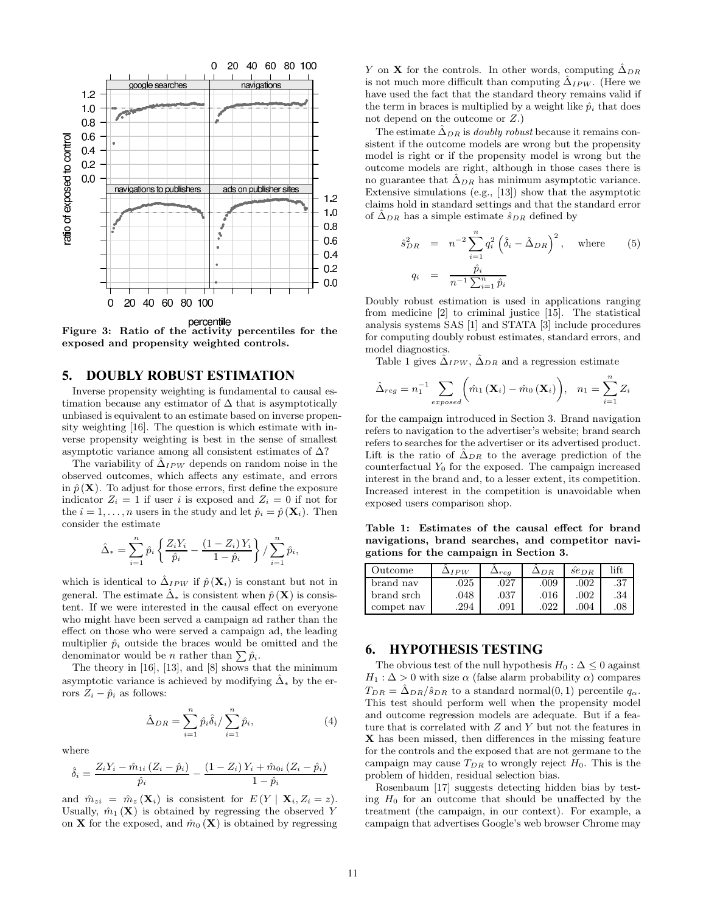

percentile<br>Figure 3: Ratio of the activity percentiles for the exposed and propensity weighted controls.

## **5. DOUBLY ROBUST ESTIMATION**

Inverse propensity weighting is fundamental to causal estimation because any estimator of  $\Delta$  that is asymptotically unbiased is equivalent to an estimate based on inverse propensity weighting [16]. The question is which estimate with inverse propensity weighting is best in the sense of smallest asymptotic variance among all consistent estimates of  $\Delta$ ?

The variability of  $\hat{\Delta}_{IPW}$  depends on random noise in the observed outcomes, which affects any estimate, and errors in  $\hat{p}(\mathbf{X})$ . To adjust for those errors, first define the exposure indicator  $Z_i = 1$  if user i is exposed and  $Z_i = 0$  if not for the  $i = 1, \ldots, n$  users in the study and let  $\hat{p}_i = \hat{p}(\mathbf{X}_i)$ . Then consider the estimate

$$
\hat{\Delta}_{*} = \sum_{i=1}^{n} \hat{p}_{i} \left\{ \frac{Z_{i} Y_{i}}{\hat{p}_{i}} - \frac{(1 - Z_{i}) Y_{i}}{1 - \hat{p}_{i}} \right\} / \sum_{i=1}^{n} \hat{p}_{i},
$$

which is identical to  $\hat{\Delta}_{IPW}$  if  $\hat{p}(\mathbf{X}_i)$  is constant but not in general. The estimate  $\hat{\Delta}_*$  is consistent when  $\hat{p}(\mathbf{X})$  is consistent. If we were interested in the causal effect on everyone who might have been served a campaign ad rather than the effect on those who were served a campaign ad, the leading multiplier  $\hat{p}_i$  outside the braces would be omitted and the denominator would be *n* rather than  $\sum \hat{p}_i$ .

The theory in [16], [13], and [8] shows that the minimum asymptotic variance is achieved by modifying  $\tilde{\Delta}_{*}$  by the errors  $Z_i - \hat{p}_i$  as follows:

$$
\hat{\Delta}_{DR} = \sum_{i=1}^{n} \hat{p}_i \hat{\delta}_i / \sum_{i=1}^{n} \hat{p}_i, \tag{4}
$$

where

$$
\hat{\delta}_{i} = \frac{Z_{i}Y_{i} - \hat{m}_{1i} (Z_{i} - \hat{p}_{i})}{\hat{p}_{i}} - \frac{(1 - Z_{i}) Y_{i} + \hat{m}_{0i} (Z_{i} - \hat{p}_{i})}{1 - \hat{p}_{i}}
$$

and  $\hat{m}_{zi} = \hat{m}_z(\mathbf{X}_i)$  is consistent for  $E(Y | \mathbf{X}_i, Z_i = z)$ . Usually,  $\hat{m}_1(\mathbf{X})$  is obtained by regressing the observed Y on **X** for the exposed, and  $\hat{m}_0(\mathbf{X})$  is obtained by regressing Y on X for the controls. In other words, computing  $\hat{\Delta}_{DR}$ is not much more difficult than computing  $\hat{\Delta}_{IPW}$ . (Here we have used the fact that the standard theory remains valid if the term in braces is multiplied by a weight like  $\hat{p}_i$  that does not depend on the outcome or Z.)

The estimate  $\hat{\Delta}_{DR}$  is *doubly robust* because it remains consistent if the outcome models are wrong but the propensity model is right or if the propensity model is wrong but the outcome models are right, although in those cases there is no guarantee that  $\hat{\Delta}_{DB}$  has minimum asymptotic variance. Extensive simulations (e.g., [13]) show that the asymptotic claims hold in standard settings and that the standard error of  $\Delta_{DR}$  has a simple estimate  $\hat{s}_{DR}$  defined by

$$
\hat{s}_{DR}^2 = n^{-2} \sum_{i=1}^n q_i^2 \left( \hat{\delta}_i - \hat{\Delta}_{DR} \right)^2, \text{ where } (5)
$$
  

$$
q_i = \frac{\hat{p}_i}{n^{-1} \sum_{i=1}^n \hat{p}_i}
$$

Doubly robust estimation is used in applications ranging from medicine [2] to criminal justice [15]. The statistical analysis systems SAS [1] and STATA [3] include procedures for computing doubly robust estimates, standard errors, and model diagnostics.

Table 1 gives  $\Delta_{IPW}$ ,  $\Delta_{DR}$  and a regression estimate

$$
\hat{\Delta}_{reg} = n_1^{-1} \sum_{exposed} \left( \hat{m}_1 \left( \mathbf{X}_i \right) - \hat{m}_0 \left( \mathbf{X}_i \right) \right), \quad n_1 = \sum_{i=1}^n Z_i
$$

for the campaign introduced in Section 3. Brand navigation refers to navigation to the advertiser's website; brand search refers to searches for the advertiser or its advertised product. Lift is the ratio of  $\hat{\Delta}_{DR}$  to the average prediction of the counterfactual  $Y_0$  for the exposed. The campaign increased interest in the brand and, to a lesser extent, its competition. Increased interest in the competition is unavoidable when exposed users comparison shop.

Table 1: Estimates of the causal effect for brand navigations, brand searches, and competitor navigations for the campaign in Section 3.

| $_{\rm Outcome}$ | $\Delta$ I PW | $\rightarrow_{req}$ | $\Delta$ D R | $\hat{se}_{DR}$ | lift |
|------------------|---------------|---------------------|--------------|-----------------|------|
| brand nav        | 025           | .027                | .009         | .002            | .37  |
| brand srch       | .048          | .037                | .016         | .002            | .34  |
| compet nav       | 294           | .091                | 022          | .004            | .08  |

### **6. HYPOTHESIS TESTING**

The obvious test of the null hypothesis  $H_0$ :  $\Delta \leq 0$  against  $H_1$ :  $\Delta > 0$  with size  $\alpha$  (false alarm probability  $\alpha$ ) compares  $T_{DR} = \hat{\Delta}_{DR}/\hat{s}_{DR}$  to a standard normal $(0, 1)$  percentile  $q_{\alpha}$ . This test should perform well when the propensity model and outcome regression models are adequate. But if a feature that is correlated with Z and Y but not the features in X has been missed, then differences in the missing feature for the controls and the exposed that are not germane to the campaign may cause  $T_{DR}$  to wrongly reject  $H_0$ . This is the problem of hidden, residual selection bias.

Rosenbaum [17] suggests detecting hidden bias by testing  $H_0$  for an outcome that should be unaffected by the treatment (the campaign, in our context). For example, a campaign that advertises Google's web browser Chrome may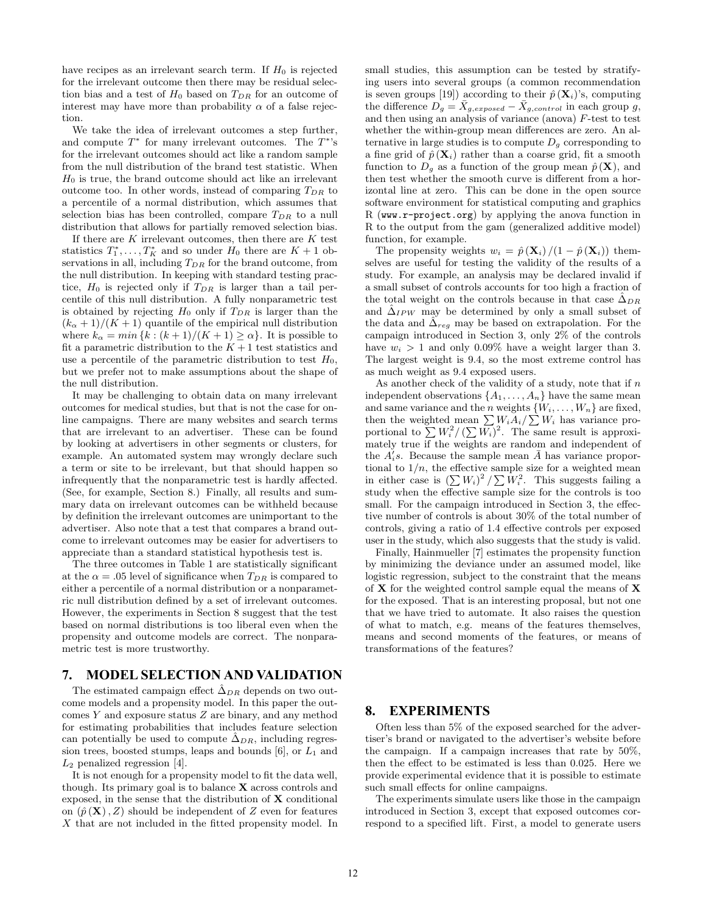have recipes as an irrelevant search term. If  $H_0$  is rejected for the irrelevant outcome then there may be residual selection bias and a test of  $H_0$  based on  $T_{DR}$  for an outcome of interest may have more than probability  $\alpha$  of a false rejection.

We take the idea of irrelevant outcomes a step further, and compute  $T^*$  for many irrelevant outcomes. The  $T^{*}$ 's for the irrelevant outcomes should act like a random sample from the null distribution of the brand test statistic. When  $H_0$  is true, the brand outcome should act like an irrelevant outcome too. In other words, instead of comparing  $T_{DR}$  to a percentile of a normal distribution, which assumes that selection bias has been controlled, compare  $T_{DR}$  to a null distribution that allows for partially removed selection bias.

If there are  $K$  irrelevant outcomes, then there are  $K$  test statistics  $T_1^*, \ldots, T_K^*$  and so under  $H_0$  there are  $K + 1$  observations in all, including  $T_{DR}$  for the brand outcome, from the null distribution. In keeping with standard testing practice,  $H_0$  is rejected only if  $T_{DR}$  is larger than a tail percentile of this null distribution. A fully nonparametric test is obtained by rejecting  $H_0$  only if  $T_{DR}$  is larger than the  $(k_{\alpha} + 1)/(K + 1)$  quantile of the empirical null distribution where  $k_{\alpha} = min\{k : (k+1)/(K+1) \geq \alpha\}$ . It is possible to fit a parametric distribution to the  $K+1$  test statistics and use a percentile of the parametric distribution to test  $H_0$ , but we prefer not to make assumptions about the shape of the null distribution.

It may be challenging to obtain data on many irrelevant outcomes for medical studies, but that is not the case for online campaigns. There are many websites and search terms that are irrelevant to an advertiser. These can be found by looking at advertisers in other segments or clusters, for example. An automated system may wrongly declare such a term or site to be irrelevant, but that should happen so infrequently that the nonparametric test is hardly affected. (See, for example, Section 8.) Finally, all results and summary data on irrelevant outcomes can be withheld because by definition the irrelevant outcomes are unimportant to the advertiser. Also note that a test that compares a brand outcome to irrelevant outcomes may be easier for advertisers to appreciate than a standard statistical hypothesis test is.

The three outcomes in Table 1 are statistically significant at the  $\alpha = .05$  level of significance when  $T_{DR}$  is compared to either a percentile of a normal distribution or a nonparametric null distribution defined by a set of irrelevant outcomes. However, the experiments in Section 8 suggest that the test based on normal distributions is too liberal even when the propensity and outcome models are correct. The nonparametric test is more trustworthy.

## **7. MODEL SELECTION AND VALIDATION**

The estimated campaign effect  $\hat{\Delta}_{DR}$  depends on two outcome models and a propensity model. In this paper the outcomes  $Y$  and exposure status  $Z$  are binary, and any method for estimating probabilities that includes feature selection can potentially be used to compute  $\Delta_{DR}$ , including regression trees, boosted stumps, leaps and bounds  $[6]$ , or  $L_1$  and  $L_2$  penalized regression [4].

It is not enough for a propensity model to fit the data well, though. Its primary goal is to balance  $X$  across controls and exposed, in the sense that the distribution of  $X$  conditional on  $(\hat{p}(\mathbf{X}), Z)$  should be independent of Z even for features X that are not included in the fitted propensity model. In small studies, this assumption can be tested by stratifying users into several groups (a common recommendation is seven groups [19]) according to their  $\hat{p}(\mathbf{X}_i)$ 's, computing the difference  $D_g = \bar{X}_{g,exposed} - \bar{X}_{g,control}$  in each group g, and then using an analysis of variance (anova) F-test to test whether the within-group mean differences are zero. An alternative in large studies is to compute  $D<sub>q</sub>$  corresponding to a fine grid of  $\hat{p}(\mathbf{X}_i)$  rather than a coarse grid, fit a smooth function to  $D_q$  as a function of the group mean  $\hat{p}(\mathbf{X})$ , and then test whether the smooth curve is different from a horizontal line at zero. This can be done in the open source software environment for statistical computing and graphics R (www.r-project.org) by applying the anova function in R to the output from the gam (generalized additive model) function, for example.

The propensity weights  $w_i = \hat{p}(\mathbf{X}_i) / (1 - \hat{p}(\mathbf{X}_i))$  themselves are useful for testing the validity of the results of a study. For example, an analysis may be declared invalid if a small subset of controls accounts for too high a fraction of the total weight on the controls because in that case  $\hat{\Delta}_{DR}$ and  $\hat{\Delta}_{IPW}$  may be determined by only a small subset of the data and  $\hat{\Delta}_{reg}$  may be based on extrapolation. For the campaign introduced in Section 3, only 2% of the controls have  $w_i > 1$  and only 0.09% have a weight larger than 3. The largest weight is 9.4, so the most extreme control has as much weight as 9.4 exposed users.

As another check of the validity of a study, note that if  $n$ independent observations  $\{A_1, \ldots, A_n\}$  have the same mean and same variance and the *n* weights  $\{W_i, \ldots, W_n\}$  are fixed, then the weighted mean  $\sum W_i A_i / \sum W_i$  has variance pro-<br>portional to  $\sum W_i^2 / (\sum W_i)^2$ . The same result is approximately true if the weights are random and independent of the  $\overrightarrow{A}_i$ 's. Because the sample mean  $\overrightarrow{A}$  has variance proportional to  $1/n$ , the effective sample size for a weighted mean in either case is  $(\sum W_i)^2 / \sum W_i^2$ . This suggests failing a study when the effective sample size for the controls is too small. For the campaign introduced in Section 3, the effective number of controls is about 30% of the total number of controls, giving a ratio of 1.4 effective controls per exposed user in the study, which also suggests that the study is valid.

Finally, Hainmueller [7] estimates the propensity function by minimizing the deviance under an assumed model, like logistic regression, subject to the constraint that the means of  $X$  for the weighted control sample equal the means of  $X$ for the exposed. That is an interesting proposal, but not one that we have tried to automate. It also raises the question of what to match, e.g. means of the features themselves, means and second moments of the features, or means of transformations of the features?

## **8. EXPERIMENTS**

Often less than 5% of the exposed searched for the advertiser's brand or navigated to the advertiser's website before the campaign. If a campaign increases that rate by 50%, then the effect to be estimated is less than 0.025. Here we provide experimental evidence that it is possible to estimate such small effects for online campaigns.

The experiments simulate users like those in the campaign introduced in Section 3, except that exposed outcomes correspond to a specified lift. First, a model to generate users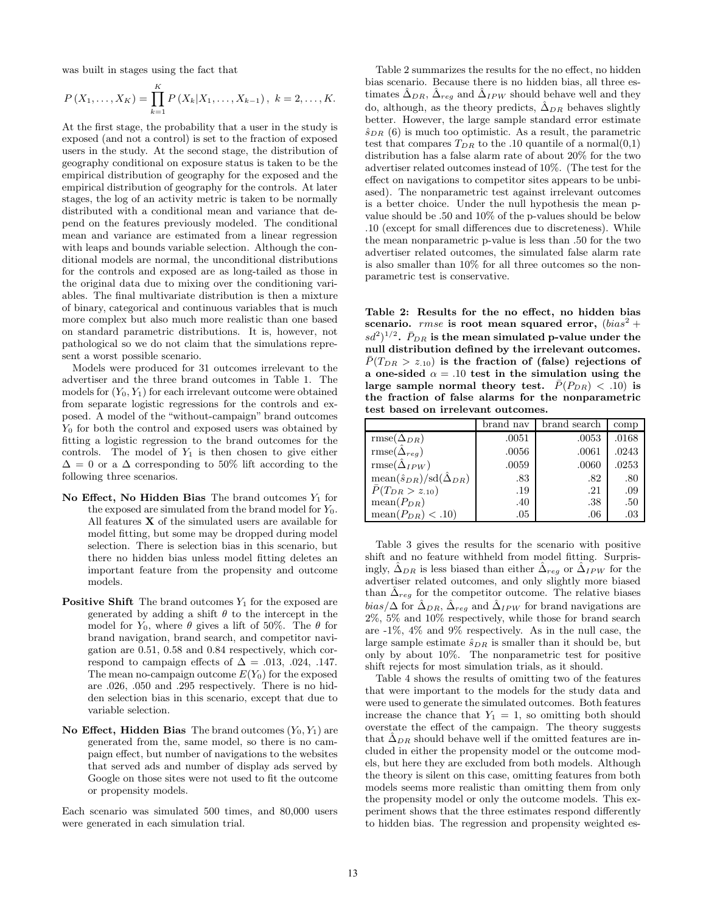was built in stages using the fact that

$$
P(X_1,\ldots,X_K)=\prod_{k=1}^K P(X_k|X_1,\ldots,X_{k-1}),\ k=2,\ldots,K.
$$

At the first stage, the probability that a user in the study is exposed (and not a control) is set to the fraction of exposed users in the study. At the second stage, the distribution of geography conditional on exposure status is taken to be the empirical distribution of geography for the exposed and the empirical distribution of geography for the controls. At later stages, the log of an activity metric is taken to be normally distributed with a conditional mean and variance that depend on the features previously modeled. The conditional mean and variance are estimated from a linear regression with leaps and bounds variable selection. Although the conditional models are normal, the unconditional distributions for the controls and exposed are as long-tailed as those in the original data due to mixing over the conditioning variables. The final multivariate distribution is then a mixture of binary, categorical and continuous variables that is much more complex but also much more realistic than one based on standard parametric distributions. It is, however, not pathological so we do not claim that the simulations represent a worst possible scenario.

Models were produced for 31 outcomes irrelevant to the advertiser and the three brand outcomes in Table 1. The models for  $(Y_0, Y_1)$  for each irrelevant outcome were obtained from separate logistic regressions for the controls and exposed. A model of the "without-campaign" brand outcomes  $Y_0$  for both the control and exposed users was obtained by fitting a logistic regression to the brand outcomes for the controls. The model of  $Y_1$  is then chosen to give either  $\Delta = 0$  or a  $\Delta$  corresponding to 50% lift according to the following three scenarios.

- No Effect, No Hidden Bias The brand outcomes  $Y_1$  for the exposed are simulated from the brand model for  $Y_0$ . All features  $X$  of the simulated users are available for model fitting, but some may be dropped during model selection. There is selection bias in this scenario, but there no hidden bias unless model fitting deletes an important feature from the propensity and outcome models.
- **Positive Shift** The brand outcomes  $Y_1$  for the exposed are generated by adding a shift  $\theta$  to the intercept in the model for  $Y_0$ , where  $\theta$  gives a lift of 50%. The  $\theta$  for brand navigation, brand search, and competitor navigation are 0.51, 0.58 and 0.84 respectively, which correspond to campaign effects of  $\Delta = .013, .024, .147$ . The mean no-campaign outcome  $E(Y_0)$  for the exposed are .026, .050 and .295 respectively. There is no hidden selection bias in this scenario, except that due to variable selection.
- No Effect, Hidden Bias The brand outcomes  $(Y_0, Y_1)$  are generated from the, same model, so there is no campaign effect, but number of navigations to the websites that served ads and number of display ads served by Google on those sites were not used to fit the outcome or propensity models.

Each scenario was simulated 500 times, and 80,000 users were generated in each simulation trial.

Table 2 summarizes the results for the no effect, no hidden bias scenario. Because there is no hidden bias, all three estimates  $\Delta_{DR}$ ,  $\Delta_{reg}$  and  $\Delta_{IPW}$  should behave well and they do, although, as the theory predicts,  $\hat{\Delta}_{DR}$  behaves slightly better. However, the large sample standard error estimate  $\hat{s}_{DR}$  (6) is much too optimistic. As a result, the parametric test that compares  $T_{DR}$  to the .10 quantile of a normal $(0,1)$ distribution has a false alarm rate of about 20% for the two advertiser related outcomes instead of 10%. (The test for the effect on navigations to competitor sites appears to be unbiased). The nonparametric test against irrelevant outcomes is a better choice. Under the null hypothesis the mean pvalue should be .50 and 10% of the p-values should be below .10 (except for small differences due to discreteness). While the mean nonparametric p-value is less than .50 for the two advertiser related outcomes, the simulated false alarm rate is also smaller than 10% for all three outcomes so the nonparametric test is conservative.

Table 2: Results for the no effect, no hidden bias scenario. rmse is root mean squared error,  $(bias^2 +$  $s d^2)^{1/2}$ .  $\bar{P}_{DR}$  is the mean simulated p-value under the null distribution defined by the irrelevant outcomes.  $\bar{P}(T_{DR} > z_{.10})$  is the fraction of (false) rejections of a one-sided  $\alpha = .10$  test in the simulation using the large sample normal theory test.  $\bar{P}(P_{DR}) < .10$  is the fraction of false alarms for the nonparametric test based on irrelevant outcomes.

|                                                          | brand nav | brand search | comp  |
|----------------------------------------------------------|-----------|--------------|-------|
| $\mathrm{rmse}(\Delta_{DR})$                             | .0051     | .0053        | .0168 |
| $\text{rmse}(\hat{\Delta}_{req})$                        | .0056     | .0061        | .0243 |
| $\text{rmse}(\hat{\Delta}_{IPW})$                        | .0059     | .0060        | .0253 |
| $\text{mean}(\hat{s}_{DR})/\text{sd}(\hat{\Delta}_{DR})$ | .83       | .82          | .80   |
| $\bar{P}(T_{DR} > z_{.10})$                              | .19       | .21          | .09   |
| $mean(P_{DR})$                                           | .40       | .38          | .50   |
| $mean(P_{DR}) < .10)$                                    | .05       | .06          | .03   |

Table 3 gives the results for the scenario with positive shift and no feature withheld from model fitting. Surprisingly,  $\Delta_{DR}$  is less biased than either  $\Delta_{reg}$  or  $\Delta_{IPW}$  for the advertiser related outcomes, and only slightly more biased than  $\tilde{\Delta}_{reg}$  for the competitor outcome. The relative biases  $bias/\Delta$  for  $\hat{\Delta}_{DR}$ ,  $\hat{\Delta}_{reg}$  and  $\hat{\Delta}_{IPW}$  for brand navigations are 2%, 5% and 10% respectively, while those for brand search are -1%, 4% and 9% respectively. As in the null case, the large sample estimate  $\hat{s}_{DR}$  is smaller than it should be, but only by about 10%. The nonparametric test for positive shift rejects for most simulation trials, as it should.

Table 4 shows the results of omitting two of the features that were important to the models for the study data and were used to generate the simulated outcomes. Both features increase the chance that  $Y_1 = 1$ , so omitting both should overstate the effect of the campaign. The theory suggests that  $\Delta_{DR}$  should behave well if the omitted features are included in either the propensity model or the outcome models, but here they are excluded from both models. Although the theory is silent on this case, omitting features from both models seems more realistic than omitting them from only the propensity model or only the outcome models. This experiment shows that the three estimates respond differently to hidden bias. The regression and propensity weighted es-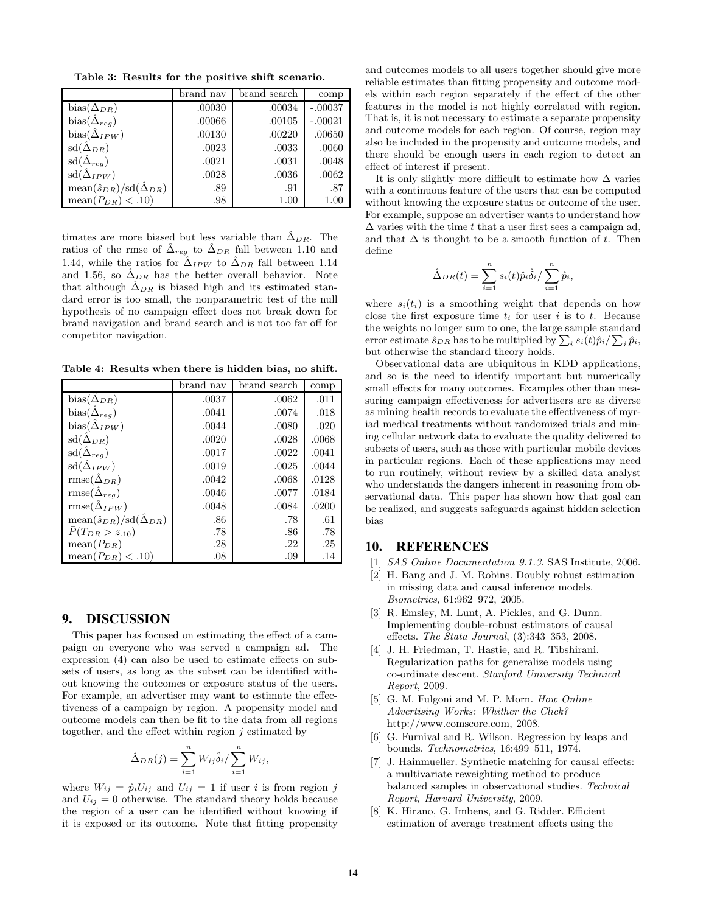Table 3: Results for the positive shift scenario.

|                                                          | brand nav | brand search | comp      |
|----------------------------------------------------------|-----------|--------------|-----------|
| bias $(\hat{\Delta}_{DR})$                               | .00030    | .00034       | $-.00037$ |
| bias $(\hat{\Delta}_{reg})$                              | .00066    | .00105       | $-.00021$ |
| bias $(\hat{\Delta}_{IPW})$                              | .00130    | .00220       | .00650    |
| $sd(\hat{\Delta}_{DR})$                                  | .0023     | .0033        | .0060     |
| $sd(\hat{\Delta}_{reg})$                                 | .0021     | .0031        | .0048     |
| $sd(\hat{\Delta}_{IPW})$                                 | .0028     | .0036        | .0062     |
| $\text{mean}(\hat{s}_{DR})/\text{sd}(\hat{\Delta}_{DR})$ | .89       | .91          | .87       |
| $mean(P_{DR}) < .10)$                                    | .98       | 1.00         | 1.00      |

timates are more biased but less variable than  $\hat{\Delta}_{DR}$ . The ratios of the rmse of  $\Delta_{reg}$  to  $\Delta_{DR}$  fall between 1.10 and 1.44, while the ratios for  $\hat{\Delta}_{IPW}$  to  $\hat{\Delta}_{DR}$  fall between 1.14 and 1.56, so  $\Delta_{DR}$  has the better overall behavior. Note that although  $\Delta_{DR}$  is biased high and its estimated standard error is too small, the nonparametric test of the null hypothesis of no campaign effect does not break down for brand navigation and brand search and is not too far off for competitor navigation.

Table 4: Results when there is hidden bias, no shift.

|                                                          | brand nav | brand search | comp  |
|----------------------------------------------------------|-----------|--------------|-------|
| bias $(\Delta_{DR})$                                     | .0037     | .0062        | .011  |
| bias $(\hat{\Delta}_{req})$                              | .0041     | .0074        | .018  |
| bias $(\hat{\Delta}_{IPW})$                              | .0044     | .0080        | .020  |
| $sd(\hat{\Delta}_{DR})$                                  | .0020     | .0028        | .0068 |
| $sd(\tilde{\Delta}_{req})$                               | .0017     | .0022        | .0041 |
| $sd(\hat{\Delta}_{IPW})$                                 | .0019     | .0025        | .0044 |
| $\text{rmse}(\hat{\Delta}_{DR})$                         | .0042     | .0068        | .0128 |
| $\text{rmse}(\Delta_{req})$                              | .0046     | .0077        | .0184 |
| $\text{rmse}(\hat{\Delta}_{IPW})$                        | .0048     | .0084        | .0200 |
| $\text{mean}(\hat{s}_{DR})/\text{sd}(\hat{\Delta}_{DR})$ | .86       | .78          | .61   |
| $\bar{P}(T_{DR} > z_{.10})$                              | .78       | .86          | .78   |
| $mean(P_{DR})$                                           | .28       | .22          | .25   |
| $mean(P_{DR})$ < .10)                                    | .08       | .09          | .14   |

#### **9. DISCUSSION**

This paper has focused on estimating the effect of a campaign on everyone who was served a campaign ad. The expression (4) can also be used to estimate effects on subsets of users, as long as the subset can be identified without knowing the outcomes or exposure status of the users. For example, an advertiser may want to estimate the effectiveness of a campaign by region. A propensity model and outcome models can then be fit to the data from all regions together, and the effect within region  $j$  estimated by

$$
\hat{\Delta}_{DR}(j) = \sum_{i=1}^{n} W_{ij} \hat{\delta}_i / \sum_{i=1}^{n} W_{ij},
$$

where  $W_{ij} = \hat{p}_i U_{ij}$  and  $U_{ij} = 1$  if user i is from region j and  $U_{ij} = 0$  otherwise. The standard theory holds because the region of a user can be identified without knowing if it is exposed or its outcome. Note that fitting propensity

and outcomes models to all users together should give more reliable estimates than fitting propensity and outcome models within each region separately if the effect of the other features in the model is not highly correlated with region. That is, it is not necessary to estimate a separate propensity and outcome models for each region. Of course, region may also be included in the propensity and outcome models, and there should be enough users in each region to detect an effect of interest if present.

It is only slightly more difficult to estimate how  $\Delta$  varies with a continuous feature of the users that can be computed without knowing the exposure status or outcome of the user. For example, suppose an advertiser wants to understand how  $\Delta$  varies with the time t that a user first sees a campaign ad, and that  $\Delta$  is thought to be a smooth function of t. Then define

$$
\hat{\Delta}_{DR}(t) = \sum_{i=1}^{n} s_i(t)\hat{p}_i \hat{\delta}_i / \sum_{i=1}^{n} \hat{p}_i,
$$

where  $s_i(t_i)$  is a smoothing weight that depends on how close the first exposure time  $t_i$  for user i is to t. Because the weights no longer sum to one, the large sample standard error estimate  $\hat{s}_{DR}$  has to be multiplied by  $\sum_i s_i(t)\hat{p}_i/\sum_i \hat{p}_i$ , but otherwise the standard theory holds.

Observational data are ubiquitous in KDD applications, and so is the need to identify important but numerically small effects for many outcomes. Examples other than measuring campaign effectiveness for advertisers are as diverse as mining health records to evaluate the effectiveness of myriad medical treatments without randomized trials and mining cellular network data to evaluate the quality delivered to subsets of users, such as those with particular mobile devices in particular regions. Each of these applications may need to run routinely, without review by a skilled data analyst who understands the dangers inherent in reasoning from observational data. This paper has shown how that goal can be realized, and suggests safeguards against hidden selection bias

#### **10. REFERENCES**

- [1] SAS Online Documentation 9.1.3. SAS Institute, 2006.
- [2] H. Bang and J. M. Robins. Doubly robust estimation in missing data and causal inference models. Biometrics, 61:962–972, 2005.
- [3] R. Emsley, M. Lunt, A. Pickles, and G. Dunn. Implementing double-robust estimators of causal effects. The Stata Journal, (3):343–353, 2008.
- [4] J. H. Friedman, T. Hastie, and R. Tibshirani. Regularization paths for generalize models using co-ordinate descent. Stanford University Technical Report, 2009.
- [5] G. M. Fulgoni and M. P. Morn. How Online Advertising Works: Whither the Click? http://www.comscore.com, 2008.
- [6] G. Furnival and R. Wilson. Regression by leaps and bounds. Technometrics, 16:499–511, 1974.
- [7] J. Hainmueller. Synthetic matching for causal effects: a multivariate reweighting method to produce balanced samples in observational studies. Technical Report, Harvard University, 2009.
- [8] K. Hirano, G. Imbens, and G. Ridder. Efficient estimation of average treatment effects using the